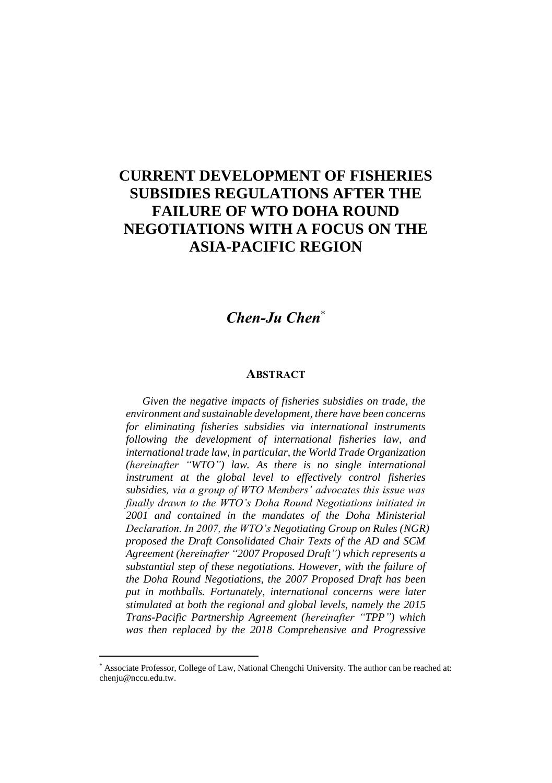## **CURRENT DEVELOPMENT OF FISHERIES SUBSIDIES REGULATIONS AFTER THE FAILURE OF WTO DOHA ROUND NEGOTIATIONS WITH A FOCUS ON THE ASIA-PACIFIC REGION**

## *Chen-Ju Chen*\*

## **ABSTRACT**

*Given the negative impacts of fisheries subsidies on trade, the environment and sustainable development, there have been concerns for eliminating fisheries subsidies via international instruments following the development of international fisheries law, and international trade law, in particular, the World Trade Organization (hereinafter "WTO") law. As there is no single international instrument at the global level to effectively control fisheries subsidies, via a group of WTO Members' advocates this issue was finally drawn to the WTO's Doha Round Negotiations initiated in 2001 and contained in the mandates of the Doha Ministerial Declaration. In 2007, the WTO's Negotiating Group on Rules (NGR) proposed the Draft Consolidated Chair Texts of the AD and SCM Agreement (hereinafter "2007 Proposed Draft") which represents a substantial step of these negotiations. However, with the failure of the Doha Round Negotiations, the 2007 Proposed Draft has been put in mothballs. Fortunately, international concerns were later stimulated at both the regional and global levels, namely the 2015 Trans-Pacific Partnership Agreement (hereinafter "TPP") which was then replaced by the 2018 Comprehensive and Progressive* 

<sup>\*</sup> Associate Professor, College of Law, National Chengchi University. The author can be reached at: chenju@nccu.edu.tw.